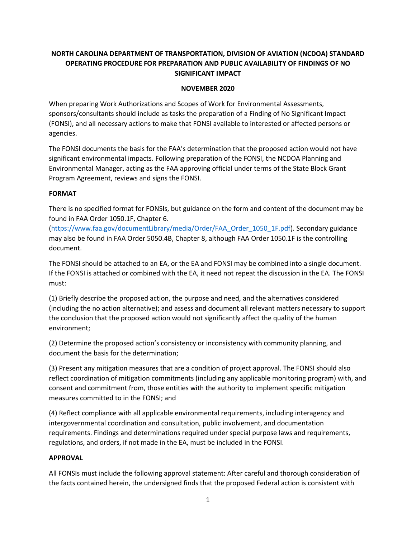# **NORTH CAROLINA DEPARTMENT OF TRANSPORTATION, DIVISION OF AVIATION (NCDOA) STANDARD OPERATING PROCEDURE FOR PREPARATION AND PUBLIC AVAILABILITY OF FINDINGS OF NO SIGNIFICANT IMPACT**

### **NOVEMBER 2020**

When preparing Work Authorizations and Scopes of Work for Environmental Assessments, sponsors/consultants should include as tasks the preparation of a Finding of No Significant Impact (FONSI), and all necessary actions to make that FONSI available to interested or affected persons or agencies.

The FONSI documents the basis for the FAA's determination that the proposed action would not have significant environmental impacts. Following preparation of the FONSI, the NCDOA Planning and Environmental Manager, acting as the FAA approving official under terms of the State Block Grant Program Agreement, reviews and signs the FONSI.

#### **FORMAT**

There is no specified format for FONSIs, but guidance on the form and content of the document may be found in FAA Order 1050.1F, Chapter 6.

[\(https://www.faa.gov/documentLibrary/media/Order/FAA\\_Order\\_1050\\_1F.pdf\)](https://www.faa.gov/documentLibrary/media/Order/FAA_Order_1050_1F.pdf). Secondary guidance may also be found in FAA Order 5050.4B, Chapter 8, although FAA Order 1050.1F is the controlling document.

The FONSI should be attached to an EA, or the EA and FONSI may be combined into a single document. If the FONSI is attached or combined with the EA, it need not repeat the discussion in the EA. The FONSI must:

(1) Briefly describe the proposed action, the purpose and need, and the alternatives considered (including the no action alternative); and assess and document all relevant matters necessary to support the conclusion that the proposed action would not significantly affect the quality of the human environment;

(2) Determine the proposed action's consistency or inconsistency with community planning, and document the basis for the determination;

(3) Present any mitigation measures that are a condition of project approval. The FONSI should also reflect coordination of mitigation commitments (including any applicable monitoring program) with, and consent and commitment from, those entities with the authority to implement specific mitigation measures committed to in the FONSI; and

(4) Reflect compliance with all applicable environmental requirements, including interagency and intergovernmental coordination and consultation, public involvement, and documentation requirements. Findings and determinations required under special purpose laws and requirements, regulations, and orders, if not made in the EA, must be included in the FONSI.

#### **APPROVAL**

All FONSIs must include the following approval statement: After careful and thorough consideration of the facts contained herein, the undersigned finds that the proposed Federal action is consistent with